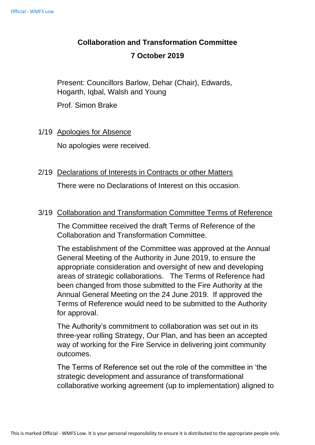# **Collaboration and Transformation Committee**

## **7 October 2019**

Present: Councillors Barlow, Dehar (Chair), Edwards, Hogarth, Iqbal, Walsh and Young

Prof. Simon Brake

#### 1/19 Apologies for Absence

No apologies were received.

## 2/19 Declarations of Interests in Contracts or other Matters

There were no Declarations of Interest on this occasion.

## 3/19 Collaboration and Transformation Committee Terms of Reference

The Committee received the draft Terms of Reference of the Collaboration and Transformation Committee.

The establishment of the Committee was approved at the Annual General Meeting of the Authority in June 2019, to ensure the appropriate consideration and oversight of new and developing areas of strategic collaborations. The Terms of Reference had been changed from those submitted to the Fire Authority at the Annual General Meeting on the 24 June 2019. If approved the Terms of Reference would need to be submitted to the Authority for approval.

The Authority's commitment to collaboration was set out in its three-year rolling Strategy, Our Plan, and has been an accepted way of working for the Fire Service in delivering joint community outcomes.

The Terms of Reference set out the role of the committee in 'the strategic development and assurance of transformational collaborative working agreement (up to implementation) aligned to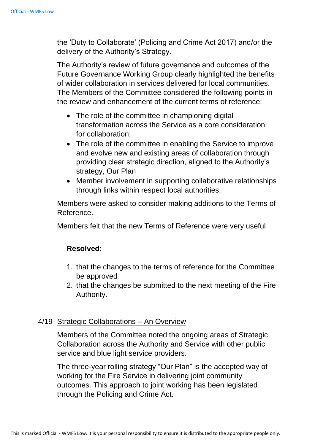the 'Duty to Collaborate' (Policing and Crime Act 2017) and/or the delivery of the Authority's Strategy.

The Authority's review of future governance and outcomes of the Future Governance Working Group clearly highlighted the benefits of wider collaboration in services delivered for local communities. The Members of the Committee considered the following points in the review and enhancement of the current terms of reference:

- The role of the committee in championing digital transformation across the Service as a core consideration for collaboration;
- The role of the committee in enabling the Service to improve and evolve new and existing areas of collaboration through providing clear strategic direction, aligned to the Authority's strategy, Our Plan
- Member involvement in supporting collaborative relationships through links within respect local authorities.

Members were asked to consider making additions to the Terms of Reference.

Members felt that the new Terms of Reference were very useful

#### **Resolved**:

- 1. that the changes to the terms of reference for the Committee be approved
- 2. that the changes be submitted to the next meeting of the Fire Authority.

## 4/19 Strategic Collaborations – An Overview

Members of the Committee noted the ongoing areas of Strategic Collaboration across the Authority and Service with other public service and blue light service providers.

The three-year rolling strategy "Our Plan" is the accepted way of working for the Fire Service in delivering joint community outcomes. This approach to joint working has been legislated through the Policing and Crime Act.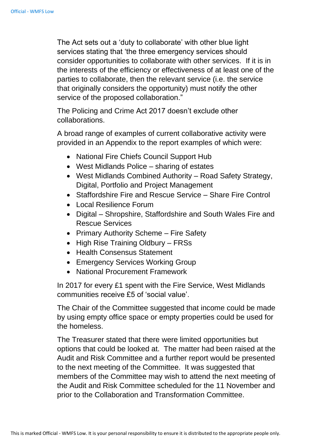The Act sets out a 'duty to collaborate' with other blue light services stating that 'the three emergency services should consider opportunities to collaborate with other services. If it is in the interests of the efficiency or effectiveness of at least one of the parties to collaborate, then the relevant service (i.e. the service that originally considers the opportunity) must notify the other service of the proposed collaboration."

The Policing and Crime Act 2017 doesn't exclude other collaborations.

A broad range of examples of current collaborative activity were provided in an Appendix to the report examples of which were:

- National Fire Chiefs Council Support Hub
- West Midlands Police sharing of estates
- West Midlands Combined Authority Road Safety Strategy, Digital, Portfolio and Project Management
- Staffordshire Fire and Rescue Service Share Fire Control
- Local Resilience Forum
- Digital Shropshire, Staffordshire and South Wales Fire and Rescue Services
- Primary Authority Scheme Fire Safety
- High Rise Training Oldbury FRSs
- Health Consensus Statement
- Emergency Services Working Group
- National Procurement Framework

In 2017 for every £1 spent with the Fire Service, West Midlands communities receive £5 of 'social value'.

The Chair of the Committee suggested that income could be made by using empty office space or empty properties could be used for the homeless.

The Treasurer stated that there were limited opportunities but options that could be looked at. The matter had been raised at the Audit and Risk Committee and a further report would be presented to the next meeting of the Committee. It was suggested that members of the Committee may wish to attend the next meeting of the Audit and Risk Committee scheduled for the 11 November and prior to the Collaboration and Transformation Committee.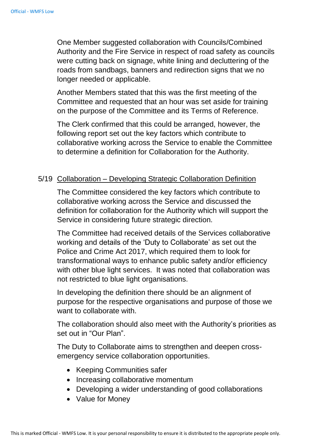One Member suggested collaboration with Councils/Combined Authority and the Fire Service in respect of road safety as councils were cutting back on signage, white lining and decluttering of the roads from sandbags, banners and redirection signs that we no longer needed or applicable.

Another Members stated that this was the first meeting of the Committee and requested that an hour was set aside for training on the purpose of the Committee and its Terms of Reference.

The Clerk confirmed that this could be arranged, however, the following report set out the key factors which contribute to collaborative working across the Service to enable the Committee to determine a definition for Collaboration for the Authority.

#### 5/19 Collaboration – Developing Strategic Collaboration Definition

The Committee considered the key factors which contribute to collaborative working across the Service and discussed the definition for collaboration for the Authority which will support the Service in considering future strategic direction.

The Committee had received details of the Services collaborative working and details of the 'Duty to Collaborate' as set out the Police and Crime Act 2017, which required them to look for transformational ways to enhance public safety and/or efficiency with other blue light services. It was noted that collaboration was not restricted to blue light organisations.

In developing the definition there should be an alignment of purpose for the respective organisations and purpose of those we want to collaborate with.

The collaboration should also meet with the Authority's priorities as set out in "Our Plan".

The Duty to Collaborate aims to strengthen and deepen crossemergency service collaboration opportunities.

- Keeping Communities safer
- Increasing collaborative momentum
- Developing a wider understanding of good collaborations
- Value for Money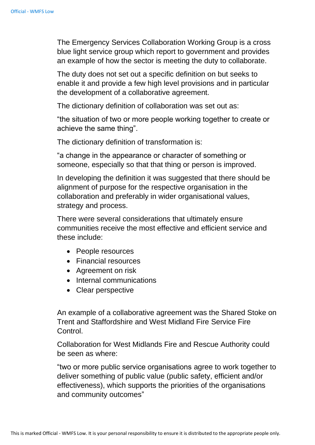The Emergency Services Collaboration Working Group is a cross blue light service group which report to government and provides an example of how the sector is meeting the duty to collaborate.

The duty does not set out a specific definition on but seeks to enable it and provide a few high level provisions and in particular the development of a collaborative agreement.

The dictionary definition of collaboration was set out as:

"the situation of two or more people working together to create or achieve the same thing".

The dictionary definition of transformation is:

"a change in the appearance or character of something or someone, especially so that that thing or person is improved.

In developing the definition it was suggested that there should be alignment of purpose for the respective organisation in the collaboration and preferably in wider organisational values, strategy and process.

There were several considerations that ultimately ensure communities receive the most effective and efficient service and these include:

- People resources
- Financial resources
- Agreement on risk
- Internal communications
- Clear perspective

An example of a collaborative agreement was the Shared Stoke on Trent and Staffordshire and West Midland Fire Service Fire Control.

Collaboration for West Midlands Fire and Rescue Authority could be seen as where:

"two or more public service organisations agree to work together to deliver something of public value (public safety, efficient and/or effectiveness), which supports the priorities of the organisations and community outcomes"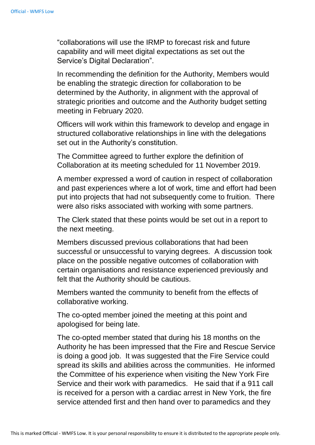"collaborations will use the IRMP to forecast risk and future capability and will meet digital expectations as set out the Service's Digital Declaration".

In recommending the definition for the Authority, Members would be enabling the strategic direction for collaboration to be determined by the Authority, in alignment with the approval of strategic priorities and outcome and the Authority budget setting meeting in February 2020.

Officers will work within this framework to develop and engage in structured collaborative relationships in line with the delegations set out in the Authority's constitution.

The Committee agreed to further explore the definition of Collaboration at its meeting scheduled for 11 November 2019.

A member expressed a word of caution in respect of collaboration and past experiences where a lot of work, time and effort had been put into projects that had not subsequently come to fruition. There were also risks associated with working with some partners.

The Clerk stated that these points would be set out in a report to the next meeting.

Members discussed previous collaborations that had been successful or unsuccessful to varying degrees. A discussion took place on the possible negative outcomes of collaboration with certain organisations and resistance experienced previously and felt that the Authority should be cautious.

Members wanted the community to benefit from the effects of collaborative working.

The co-opted member joined the meeting at this point and apologised for being late.

The co-opted member stated that during his 18 months on the Authority he has been impressed that the Fire and Rescue Service is doing a good job. It was suggested that the Fire Service could spread its skills and abilities across the communities. He informed the Committee of his experience when visiting the New York Fire Service and their work with paramedics. He said that if a 911 call is received for a person with a cardiac arrest in New York, the fire service attended first and then hand over to paramedics and they